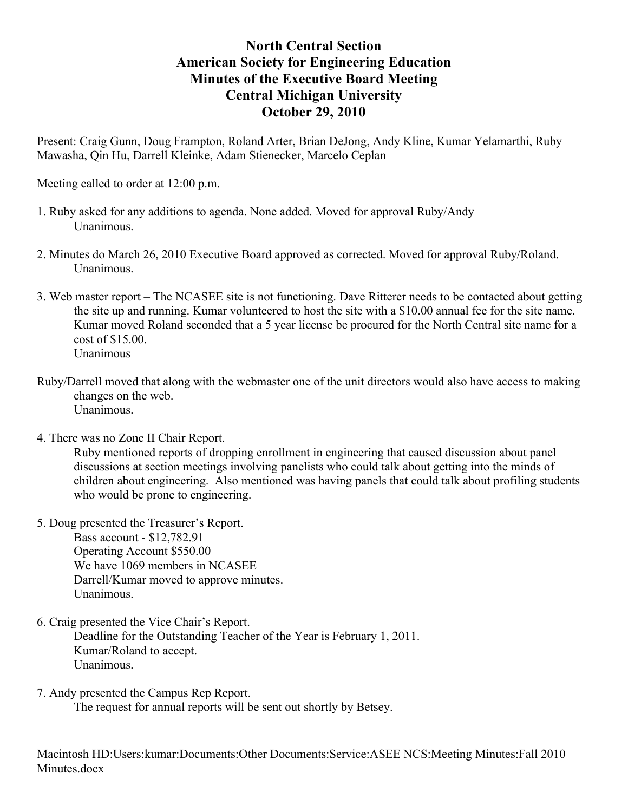## **North Central Section American Society for Engineering Education Minutes of the Executive Board Meeting Central Michigan University October 29, 2010**

Present: Craig Gunn, Doug Frampton, Roland Arter, Brian DeJong, Andy Kline, Kumar Yelamarthi, Ruby Mawasha, Qin Hu, Darrell Kleinke, Adam Stienecker, Marcelo Ceplan

Meeting called to order at 12:00 p.m.

- 1. Ruby asked for any additions to agenda. None added. Moved for approval Ruby/Andy Unanimous.
- 2. Minutes do March 26, 2010 Executive Board approved as corrected. Moved for approval Ruby/Roland. Unanimous.
- 3. Web master report The NCASEE site is not functioning. Dave Ritterer needs to be contacted about getting the site up and running. Kumar volunteered to host the site with a \$10.00 annual fee for the site name. Kumar moved Roland seconded that a 5 year license be procured for the North Central site name for a cost of \$15.00. Unanimous
- Ruby/Darrell moved that along with the webmaster one of the unit directors would also have access to making changes on the web. Unanimous.
- 4. There was no Zone II Chair Report.

Ruby mentioned reports of dropping enrollment in engineering that caused discussion about panel discussions at section meetings involving panelists who could talk about getting into the minds of children about engineering. Also mentioned was having panels that could talk about profiling students who would be prone to engineering.

- 5. Doug presented the Treasurer's Report. Bass account - \$12,782.91 Operating Account \$550.00 We have 1069 members in NCASEE Darrell/Kumar moved to approve minutes. Unanimous.
- 6. Craig presented the Vice Chair's Report.

Deadline for the Outstanding Teacher of the Year is February 1, 2011. Kumar/Roland to accept. Unanimous.

7. Andy presented the Campus Rep Report.

The request for annual reports will be sent out shortly by Betsey.

Macintosh HD:Users:kumar:Documents:Other Documents:Service:ASEE NCS:Meeting Minutes:Fall 2010 Minutes docx